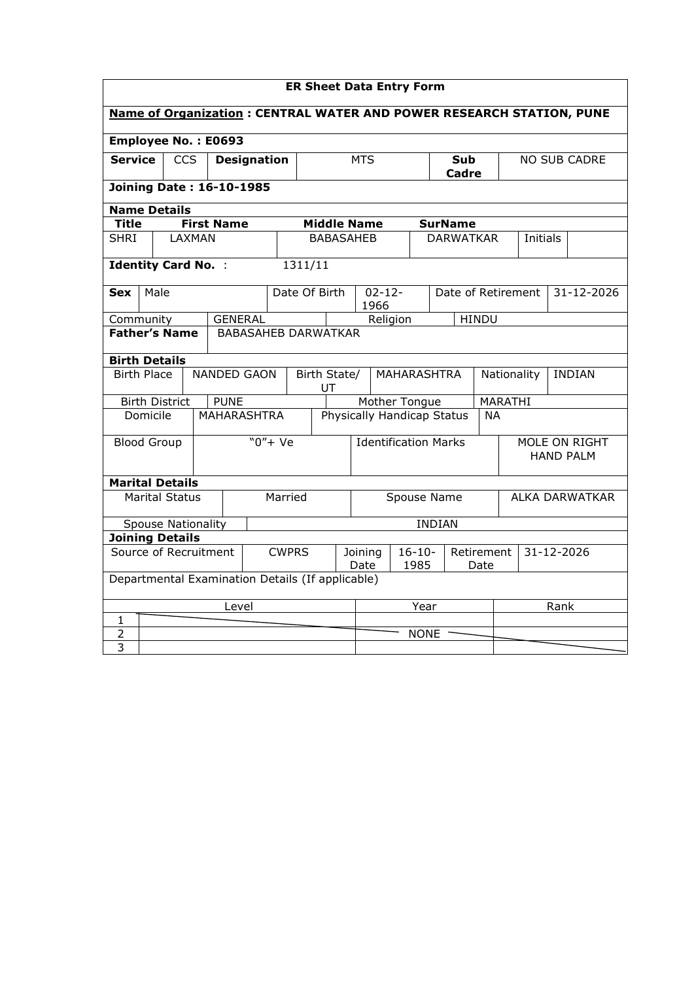|                                                                             | <b>ER Sheet Data Entry Form</b>                  |            |                 |                            |                             |         |                                           |                    |                            |                                      |                                   |               |                  |                              |                     |  |            |
|-----------------------------------------------------------------------------|--------------------------------------------------|------------|-----------------|----------------------------|-----------------------------|---------|-------------------------------------------|--------------------|----------------------------|--------------------------------------|-----------------------------------|---------------|------------------|------------------------------|---------------------|--|------------|
| <b>Name of Organization: CENTRAL WATER AND POWER RESEARCH STATION, PUNE</b> |                                                  |            |                 |                            |                             |         |                                           |                    |                            |                                      |                                   |               |                  |                              |                     |  |            |
| Employee No.: E0693                                                         |                                                  |            |                 |                            |                             |         |                                           |                    |                            |                                      |                                   |               |                  |                              |                     |  |            |
| <b>Service</b>                                                              |                                                  | <b>CCS</b> |                 | <b>Designation</b>         |                             |         |                                           |                    |                            | <b>MTS</b>                           |                                   |               | Sub<br>Cadre     |                              | <b>NO SUB CADRE</b> |  |            |
| <b>Joining Date: 16-10-1985</b>                                             |                                                  |            |                 |                            |                             |         |                                           |                    |                            |                                      |                                   |               |                  |                              |                     |  |            |
| <b>Name Details</b>                                                         |                                                  |            |                 |                            |                             |         |                                           |                    |                            |                                      |                                   |               |                  |                              |                     |  |            |
| Title                                                                       |                                                  |            |                 | <b>First Name</b>          |                             |         |                                           | <b>Middle Name</b> |                            |                                      |                                   |               | <b>SurName</b>   |                              |                     |  |            |
| <b>SHRI</b>                                                                 |                                                  |            | LAXMAN          |                            |                             |         |                                           | <b>BABASAHEB</b>   |                            |                                      |                                   |               | <b>DARWATKAR</b> |                              | <b>Initials</b>     |  |            |
| <b>Identity Card No. :</b>                                                  |                                                  |            |                 |                            |                             |         | 1311/11                                   |                    |                            |                                      |                                   |               |                  |                              |                     |  |            |
| <b>Sex</b>                                                                  | Male                                             |            |                 |                            |                             |         | Date Of Birth                             |                    |                            | $02 - 12 -$<br>1966                  |                                   |               |                  |                              | Date of Retirement  |  | 31-12-2026 |
| Community                                                                   |                                                  |            |                 | <b>GENERAL</b>             |                             |         |                                           |                    |                            | Religion                             |                                   |               |                  | <b>HINDU</b>                 |                     |  |            |
| <b>Father's Name</b>                                                        |                                                  |            |                 | <b>BABASAHEB DARWATKAR</b> |                             |         |                                           |                    |                            |                                      |                                   |               |                  |                              |                     |  |            |
| <b>Birth Details</b>                                                        |                                                  |            |                 |                            |                             |         |                                           |                    |                            |                                      |                                   |               |                  |                              |                     |  |            |
|                                                                             | <b>Birth Place</b>                               |            |                 | NANDED GAON                |                             |         | Birth State/<br>UT                        |                    |                            |                                      | MAHARASHTRA                       |               |                  | <b>INDIAN</b><br>Nationality |                     |  |            |
|                                                                             | <b>Birth District</b>                            |            |                 | <b>PUNE</b>                |                             |         |                                           | Mother Tongue      |                            |                                      |                                   | MARATHI       |                  |                              |                     |  |            |
|                                                                             | Domicile                                         |            |                 | <b>MAHARASHTRA</b>         |                             |         |                                           |                    | Physically Handicap Status |                                      |                                   |               | <b>NA</b>        |                              |                     |  |            |
|                                                                             | $"0" + Ve$<br><b>Blood Group</b>                 |            |                 |                            | <b>Identification Marks</b> |         |                                           |                    |                            |                                      | MOLE ON RIGHT<br><b>HAND PALM</b> |               |                  |                              |                     |  |            |
| <b>Marital Details</b>                                                      |                                                  |            |                 |                            |                             |         |                                           |                    |                            |                                      |                                   |               |                  |                              |                     |  |            |
|                                                                             | <b>Marital Status</b>                            |            |                 |                            |                             | Married |                                           |                    |                            | Spouse Name<br><b>ALKA DARWATKAR</b> |                                   |               |                  |                              |                     |  |            |
|                                                                             | <b>Spouse Nationality</b>                        |            |                 |                            |                             |         |                                           |                    |                            |                                      |                                   | <b>INDIAN</b> |                  |                              |                     |  |            |
| <b>Joining Details</b>                                                      |                                                  |            |                 |                            |                             |         |                                           |                    |                            |                                      |                                   |               |                  |                              |                     |  |            |
| Source of Recruitment<br><b>CWPRS</b>                                       |                                                  |            | Joining<br>Date |                            |                             |         | $16 - 10 -$<br>Retirement<br>1985<br>Date |                    |                            | 31-12-2026                           |                                   |               |                  |                              |                     |  |            |
|                                                                             | Departmental Examination Details (If applicable) |            |                 |                            |                             |         |                                           |                    |                            |                                      |                                   |               |                  |                              |                     |  |            |
| Level                                                                       |                                                  |            |                 | Year                       |                             |         |                                           | Rank               |                            |                                      |                                   |               |                  |                              |                     |  |            |
| 1                                                                           |                                                  |            |                 |                            |                             |         |                                           |                    |                            |                                      |                                   |               |                  |                              |                     |  |            |
| $\overline{2}$                                                              |                                                  |            |                 |                            |                             |         |                                           |                    |                            |                                      |                                   | <b>NONE</b>   |                  |                              |                     |  |            |
| 3                                                                           |                                                  |            |                 |                            |                             |         |                                           |                    |                            |                                      |                                   |               |                  |                              |                     |  |            |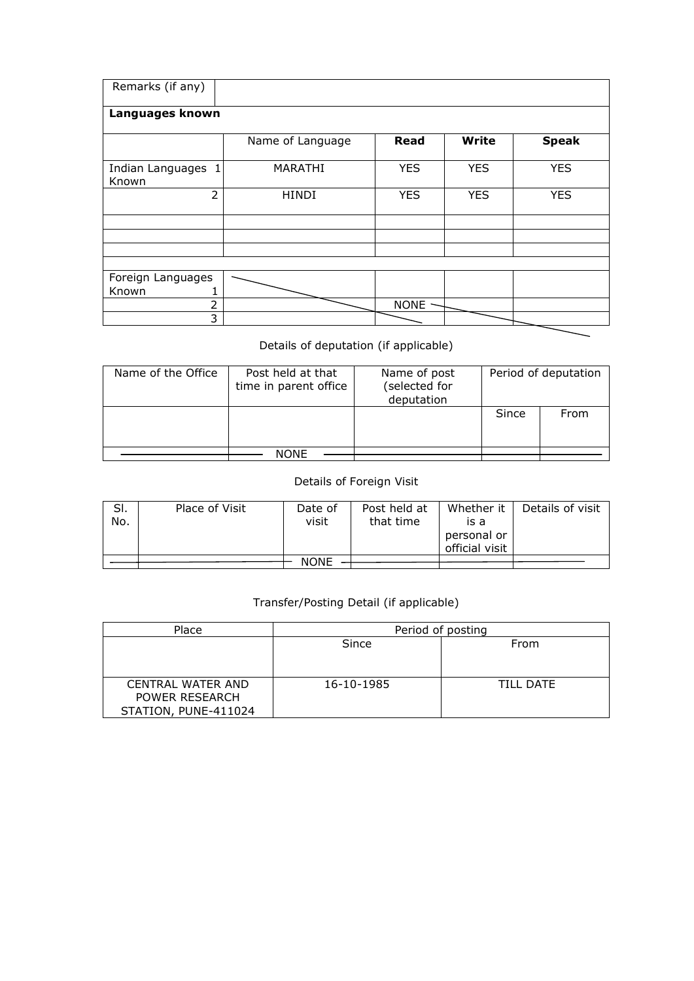| Remarks (if any)               |                  |             |            |              |  |  |  |  |  |  |  |
|--------------------------------|------------------|-------------|------------|--------------|--|--|--|--|--|--|--|
| Languages known                |                  |             |            |              |  |  |  |  |  |  |  |
|                                | Name of Language | <b>Read</b> | Write      | <b>Speak</b> |  |  |  |  |  |  |  |
| Indian Languages<br>ı<br>Known | MARATHI          | <b>YES</b>  | <b>YES</b> | <b>YES</b>   |  |  |  |  |  |  |  |
| $\overline{2}$                 | <b>HINDI</b>     | <b>YES</b>  | <b>YES</b> | <b>YES</b>   |  |  |  |  |  |  |  |
|                                |                  |             |            |              |  |  |  |  |  |  |  |
|                                |                  |             |            |              |  |  |  |  |  |  |  |
|                                |                  |             |            |              |  |  |  |  |  |  |  |
|                                |                  |             |            |              |  |  |  |  |  |  |  |
| Foreign Languages              |                  |             |            |              |  |  |  |  |  |  |  |
| Known                          |                  |             |            |              |  |  |  |  |  |  |  |
| 2                              |                  | <b>NONE</b> |            |              |  |  |  |  |  |  |  |
| 3                              |                  |             |            |              |  |  |  |  |  |  |  |

## Details of deputation (if applicable)

| Name of the Office | Post held at that<br>time in parent office | Name of post<br>(selected for<br>deputation | Period of deputation |      |  |  |
|--------------------|--------------------------------------------|---------------------------------------------|----------------------|------|--|--|
|                    |                                            |                                             | Since                | From |  |  |
|                    | NONE                                       |                                             |                      |      |  |  |

## Details of Foreign Visit

| SI. | Place of Visit | Date of     | Post held at | Whether it     | Details of visit |
|-----|----------------|-------------|--------------|----------------|------------------|
| No. |                | visit       | that time    | is a           |                  |
|     |                |             |              | personal or    |                  |
|     |                |             |              | official visit |                  |
|     |                |             |              |                |                  |
|     |                | <b>NONE</b> |              |                |                  |

## Transfer/Posting Detail (if applicable)

| Place                | Period of posting |           |  |  |  |
|----------------------|-------------------|-----------|--|--|--|
|                      | Since             | From      |  |  |  |
|                      |                   |           |  |  |  |
|                      |                   |           |  |  |  |
| CENTRAL WATER AND    | 16-10-1985        | TIII DATF |  |  |  |
| POWER RESEARCH       |                   |           |  |  |  |
| STATION, PUNE-411024 |                   |           |  |  |  |